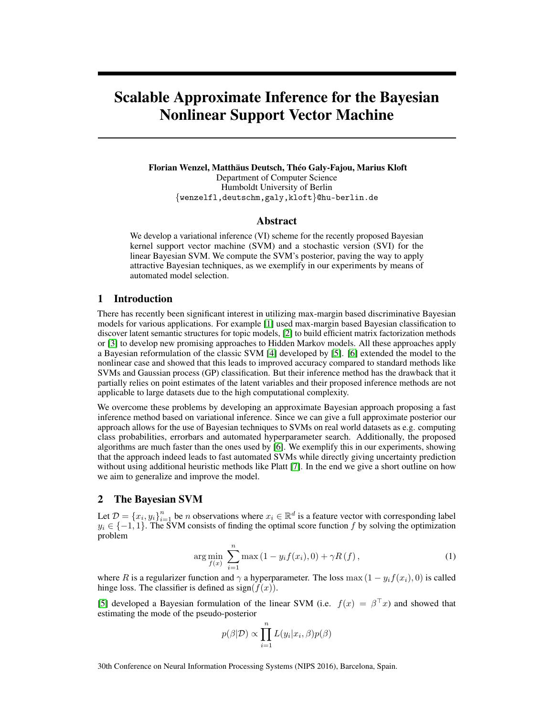# Scalable Approximate Inference for the Bayesian Nonlinear Support Vector Machine

Florian Wenzel, Matthäus Deutsch, Théo Galy-Fajou, Marius Kloft Department of Computer Science Humboldt University of Berlin {wenzelfl,deutschm,galy,kloft}@hu-berlin.de

#### Abstract

We develop a variational inference (VI) scheme for the recently proposed Bayesian kernel support vector machine (SVM) and a stochastic version (SVI) for the linear Bayesian SVM. We compute the SVM's posterior, paving the way to apply attractive Bayesian techniques, as we exemplify in our experiments by means of automated model selection.

# 1 Introduction

There has recently been significant interest in utilizing max-margin based discriminative Bayesian models for various applications. For example [\[1\]](#page-4-0) used max-margin based Bayesian classification to discover latent semantic structures for topic models, [\[2\]](#page-4-1) to build efficient matrix factorization methods or [\[3\]](#page-4-2) to develop new promising approaches to Hidden Markov models. All these approaches apply a Bayesian reformulation of the classic SVM [\[4\]](#page-4-3) developed by [\[5\]](#page-4-4). [\[6\]](#page-4-5) extended the model to the nonlinear case and showed that this leads to improved accuracy compared to standard methods like SVMs and Gaussian process (GP) classification. But their inference method has the drawback that it partially relies on point estimates of the latent variables and their proposed inference methods are not applicable to large datasets due to the high computational complexity.

We overcome these problems by developing an approximate Bayesian approach proposing a fast inference method based on variational inference. Since we can give a full approximate posterior our approach allows for the use of Bayesian techniques to SVMs on real world datasets as e.g. computing class probabilities, errorbars and automated hyperparameter search. Additionally, the proposed algorithms are much faster than the ones used by [\[6\]](#page-4-5). We exemplify this in our experiments, showing that the approach indeed leads to fast automated SVMs while directly giving uncertainty prediction without using additional heuristic methods like Platt [\[7\]](#page-4-6). In the end we give a short outline on how we aim to generalize and improve the model.

## 2 The Bayesian SVM

Let  $\mathcal{D} = \{x_i, y_i\}_{i=1}^n$  be *n* observations where  $x_i \in \mathbb{R}^d$  is a feature vector with corresponding label  $y_i \in \{-1, 1\}$ . The SVM consists of finding the optimal score function f by solving the optimization problem

$$
\arg\min_{f(x)} \sum_{i=1}^{n} \max(1 - y_i f(x_i), 0) + \gamma R(f), \qquad (1)
$$

where R is a regularizer function and  $\gamma$  a hyperparameter. The loss max  $(1 - y_i f(x_i), 0)$  is called hinge loss. The classifier is defined as  $sign(f(x))$ .

[\[5\]](#page-4-4) developed a Bayesian formulation of the linear SVM (i.e.  $f(x) = \beta^T x$ ) and showed that estimating the mode of the pseudo-posterior

<span id="page-0-0"></span>
$$
p(\beta|\mathcal{D}) \propto \prod_{i=1}^{n} L(y_i|x_i, \beta) p(\beta)
$$

30th Conference on Neural Information Processing Systems (NIPS 2016), Barcelona, Spain.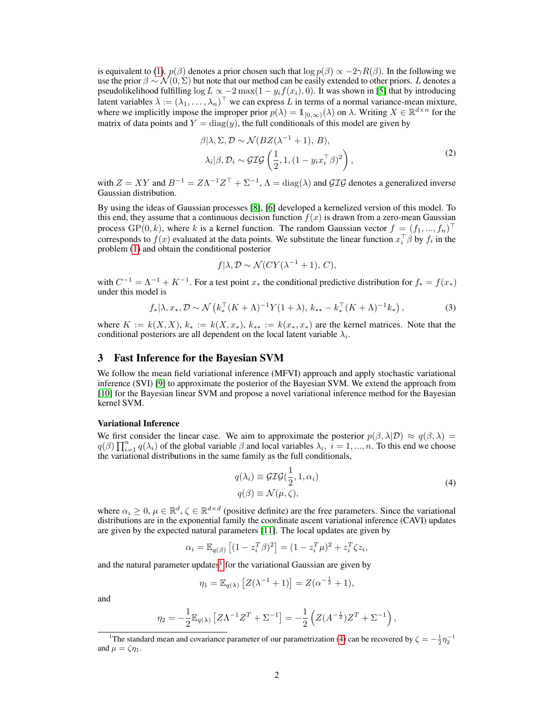is equivalent to [\(1\)](#page-0-0).  $p(\beta)$  denotes a prior chosen such that  $\log p(\beta) \propto -2\gamma R(\beta)$ . In the following we use the prior  $\beta \sim \mathcal{N}(0, \Sigma)$  but note that our method can be easily extended to other priors. L denotes a pseudolikelihood fulfilling  $\log L \propto -2 \max(1 - y_i f(x_i), 0)$ . It was shown in [\[5\]](#page-4-4) that by introducing latent variables  $\lambda := (\lambda_1, \dots, \lambda_n)^\top$  we can express L in terms of a normal variance-mean mixture, where we implicitly impose the improper prior  $p(\lambda) = 1_{[0,\infty)}(\lambda)$  on  $\lambda$ . Writing  $X \in \mathbb{R}^{d \times n}$  for the matrix of data points and  $Y = diag(y)$ , the full conditionals of this model are given by

<span id="page-1-2"></span>
$$
\beta|\lambda, \Sigma, \mathcal{D} \sim \mathcal{N}(BZ(\lambda^{-1}+1), B),
$$
  
\n
$$
\lambda_i|\beta, \mathcal{D}_i \sim \mathcal{GIG}\left(\frac{1}{2}, 1, (1 - y_i x_i^\top \beta)^2\right),
$$
\n(2)

with  $Z = XY$  and  $B^{-1} = Z\Lambda^{-1}Z^{T} + \Sigma^{-1}$ ,  $\Lambda = \text{diag}(\lambda)$  and  $\mathcal{GIG}$  denotes a generalized inverse Gaussian distribution.

By using the ideas of Gaussian processes [\[8\]](#page-4-7), [\[6\]](#page-4-5) developed a kernelized version of this model. To this end, they assume that a continuous decision function  $f(x)$  is drawn from a zero-mean Gaussian process  $\text{GP}(0, k)$ , where k is a kernel function. The random Gaussian vector  $f = (f_1, ..., f_n)^\top$ corresponds to  $f(x)$  evaluated at the data points. We substitute the linear function  $x_i^{\top} \beta$  by  $f_i$  in the problem [\(1\)](#page-0-0) and obtain the conditional posterior

<span id="page-1-3"></span>
$$
f|\lambda, \mathcal{D} \sim \mathcal{N}(CY(\lambda^{-1}+1), C),
$$

with  $C^{-1} = \Lambda^{-1} + K^{-1}$ . For a test point  $x_*$  the conditional predictive distribution for  $f_* = f(x_*)$ under this model is

$$
f_*|\lambda, x_*, \mathcal{D} \sim \mathcal{N}\left(k_*^{\top} (K+\Lambda)^{-1} Y (1+\lambda), k_{**} - k_*^{\top} (K+\Lambda)^{-1} k_*\right),
$$
 (3)

where  $K := k(X, X)$ ,  $k_* := k(X, x_*)$ ,  $k_{**} := k(x_*, x_*)$  are the kernel matrices. Note that the conditional posteriors are all dependent on the local latent variable  $\lambda_i$ .

## 3 Fast Inference for the Bayesian SVM

We follow the mean field variational inference (MFVI) approach and apply stochastic variational inference (SVI) [\[9\]](#page-4-8) to approximate the posterior of the Bayesian SVM. We extend the approach from [\[10\]](#page-4-9) for the Bayesian linear SVM and propose a novel variational inference method for the Bayesian kernel SVM.

#### Variational Inference

We first consider the linear case. We aim to approximate the posterior  $p(\beta, \lambda | \mathcal{D}) \approx q(\beta, \lambda)$  $q(\beta) \prod_{i=1}^n q(\lambda_i)$  of the global variable  $\beta$  and local variables  $\lambda_i$ ,  $i = 1, ..., n$ . To this end we choose the variational distributions in the same family as the full conditionals,

<span id="page-1-1"></span>
$$
q(\lambda_i) \equiv \mathcal{GIG}(\frac{1}{2}, 1, \alpha_i)
$$
  
\n
$$
q(\beta) \equiv \mathcal{N}(\mu, \zeta),
$$
\n(4)

where  $\alpha_i \geq 0$ ,  $\mu \in \mathbb{R}^d$ ,  $\zeta \in \mathbb{R}^{d \times d}$  (positive definite) are the free parameters. Since the variational distributions are in the exponential family the coordinate ascent variational inference (CAVI) updates are given by the expected natural parameters [\[11\]](#page-4-10). The local updates are given by

$$
\alpha_i = \mathbb{E}_{q(\beta)} \left[ (1 - z_i^T \beta)^2 \right] = (1 - z_i^T \mu)^2 + z_i^T \zeta z_i,
$$

and the natural parameter updates<sup>[1](#page-1-0)</sup> for the variational Gaussian are given by

$$
\eta_1 = \mathbb{E}_{q(\lambda)} [Z(\lambda^{-1} + 1)] = Z(\alpha^{-\frac{1}{2}} + 1),
$$

and

$$
\eta_2 = -\frac{1}{2} \mathbb{E}_{q(\lambda)} \left[ Z \Lambda^{-1} Z^T + \Sigma^{-1} \right] = -\frac{1}{2} \left( Z (A^{-\frac{1}{2}}) Z^T + \Sigma^{-1} \right),
$$

<span id="page-1-0"></span><sup>&</sup>lt;sup>1</sup>The standard mean and covariance parameter of our parametrization [\(4\)](#page-1-1) can be recovered by  $\zeta = -\frac{1}{2}\eta_2^{-1}$ and  $\mu = \zeta \eta_1$ .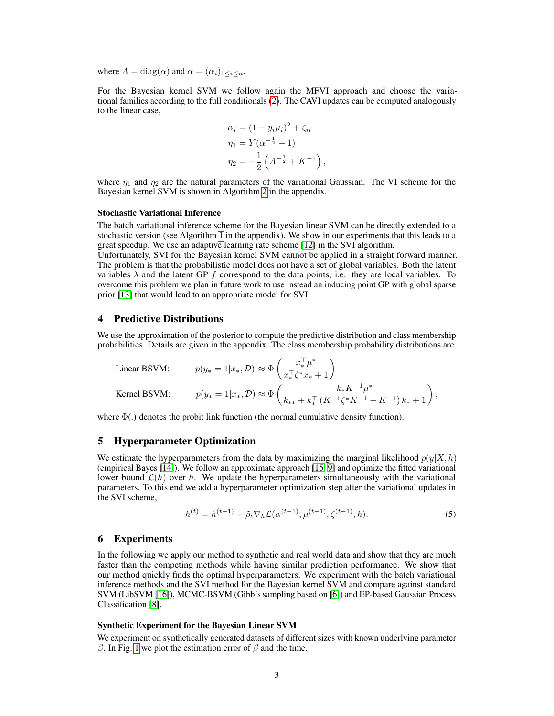where  $A = \text{diag}(\alpha)$  and  $\alpha = (\alpha_i)_{1 \leq i \leq n}$ .

For the Bayesian kernel SVM we follow again the MFVI approach and choose the variational families according to the full conditionals [\(2\)](#page-1-2). The CAVI updates can be computed analogously to the linear case,

$$
\alpha_i = (1 - y_i \mu_i)^2 + \zeta_{ii}
$$
  
\n
$$
\eta_1 = Y(\alpha^{-\frac{1}{2}} + 1)
$$
  
\n
$$
\eta_2 = -\frac{1}{2} \left( A^{-\frac{1}{2}} + K^{-1} \right),
$$

where  $\eta_1$  and  $\eta_2$  are the natural parameters of the variational Gaussian. The VI scheme for the Bayesian kernel SVM is shown in Algorithm [2](#page-5-0) in the appendix.

#### Stochastic Variational Inference

The batch variational inference scheme for the Bayesian linear SVM can be directly extended to a stochastic version (see Algorithm [1](#page-5-1) in the appendix). We show in our experiments that this leads to a great speedup. We use an adaptive learning rate scheme [\[12\]](#page-4-11) in the SVI algorithm.

Unfortunately, SVI for the Bayesian kernel SVM cannot be applied in a straight forward manner. The problem is that the probabilistic model does not have a set of global variables. Both the latent variables  $\lambda$  and the latent GP f correspond to the data points, i.e. they are local variables. To overcome this problem we plan in future work to use instead an inducing point GP with global sparse prior [\[13\]](#page-4-12) that would lead to an appropriate model for SVI.

## 4 Predictive Distributions

We use the approximation of the posterior to compute the predictive distribution and class membership probabilities. Details are given in the appendix. The class membership probability distributions are

Linear BSVM: 
$$
p(y_* = 1 | x_*, \mathcal{D}) \approx \Phi\left(\frac{x_*^{\top} \mu^*}{x_*^{\top} \zeta^* x_* + 1}\right)
$$
  
\nKernel BSVM:  $p(y_* = 1 | x_*, \mathcal{D}) \approx \Phi\left(\frac{k_* K^{-1} \mu^*}{k_{**} + k_*^{\top} (K^{-1} \zeta^* K^{-1} - K^{-1}) k_* + 1}\right)$ ,

where  $\Phi(.)$  denotes the probit link function (the normal cumulative density function).

#### 5 Hyperparameter Optimization

We estimate the hyperparameters from the data by maximizing the marginal likelihood  $p(y|X, h)$ (empirical Bayes [\[14\]](#page-4-13)). We follow an approximate approach [\[15,](#page-4-14) [9\]](#page-4-8) and optimize the fitted variational lower bound  $\mathcal{L}(h)$  over h. We update the hyperparameters simultaneously with the variational parameters. To this end we add a hyperparameter optimization step after the variational updates in the SVI scheme,

<span id="page-2-0"></span>
$$
h^{(t)} = h^{(t-1)} + \tilde{\rho}_t \nabla_h \mathcal{L}(\alpha^{(t-1)}, \mu^{(t-1)}, \zeta^{(t-1)}, h). \tag{5}
$$

## 6 Experiments

In the following we apply our method to synthetic and real world data and show that they are much faster than the competing methods while having similar prediction performance. We show that our method quickly finds the optimal hyperparameters. We experiment with the batch variational inference methods and the SVI method for the Bayesian kernel SVM and compare against standard SVM (LibSVM [\[16\]](#page-4-15)), MCMC-BSVM (Gibb's sampling based on [\[6\]](#page-4-5)) and EP-based Gaussian Process Classification [\[8\]](#page-4-7).

## Synthetic Experiment for the Bayesian Linear SVM

We experiment on synthetically generated datasets of different sizes with known underlying parameter β. In Fig. [1](#page-3-0) we plot the estimation error of  $β$  and the time.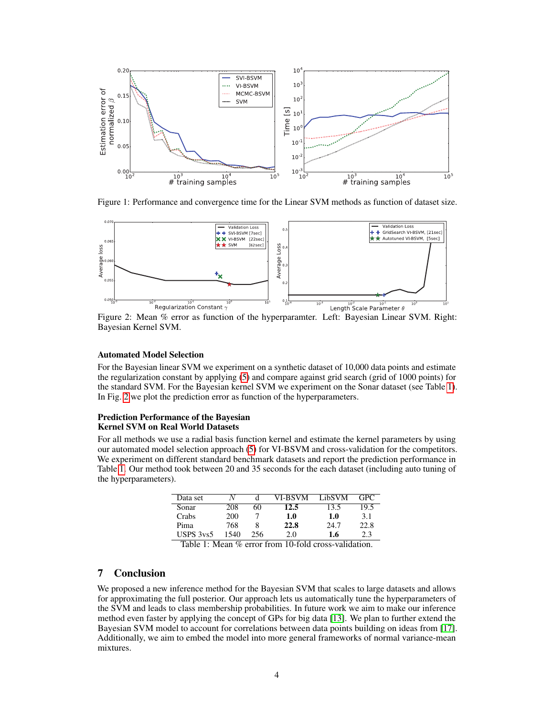

<span id="page-3-0"></span>Figure 1: Performance and convergence time for the Linear SVM methods as function of dataset size.



Figure 2: Mean % error as function of the hyperparamter. Left: Bayesian Linear SVM. Right: Bayesian Kernel SVM.

#### Automated Model Selection

For the Bayesian linear SVM we experiment on a synthetic dataset of 10,000 data points and estimate the regularization constant by applying [\(5\)](#page-2-0) and compare against grid search (grid of 1000 points) for the standard SVM. For the Bayesian kernel SVM we experiment on the Sonar dataset (see Table [1\)](#page-3-1). In Fig. [2](#page-3-2) we plot the prediction error as function of the hyperparameters.

#### Prediction Performance of the Bayesian Kernel SVM on Real World Datasets

For all methods we use a radial basis function kernel and estimate the kernel parameters by using our automated model selection approach [\(5\)](#page-2-0) for VI-BSVM and cross-validation for the competitors. We experiment on different standard benchmark datasets and report the prediction performance in Table [1.](#page-3-1) Our method took between 20 and 35 seconds for the each dataset (including auto tuning of the hyperparameters).

<span id="page-3-2"></span>

| Data set  |      |     | VI-BSVM | LibSVM | GPC  |
|-----------|------|-----|---------|--------|------|
| Sonar     | 208  | 60  | 12.5    | 13.5   | 19.5 |
| Crabs     | 200  |     | 1.0     | 1.0    | 3.1  |
| Pima      | 768  |     | 22.8    | 24.7   | 22.8 |
| USPS 3ys5 | 1540 | 256 | 2.0     | 1.6    | 2.3  |

<span id="page-3-1"></span>Table 1: Mean % error from 10-fold cross-validation.

## 7 Conclusion

We proposed a new inference method for the Bayesian SVM that scales to large datasets and allows for approximating the full posterior. Our approach lets us automatically tune the hyperparameters of the SVM and leads to class membership probabilities. In future work we aim to make our inference method even faster by applying the concept of GPs for big data [\[13\]](#page-4-12). We plan to further extend the Bayesian SVM model to account for correlations between data points building on ideas from [\[17\]](#page-4-16). Additionally, we aim to embed the model into more general frameworks of normal variance-mean mixtures.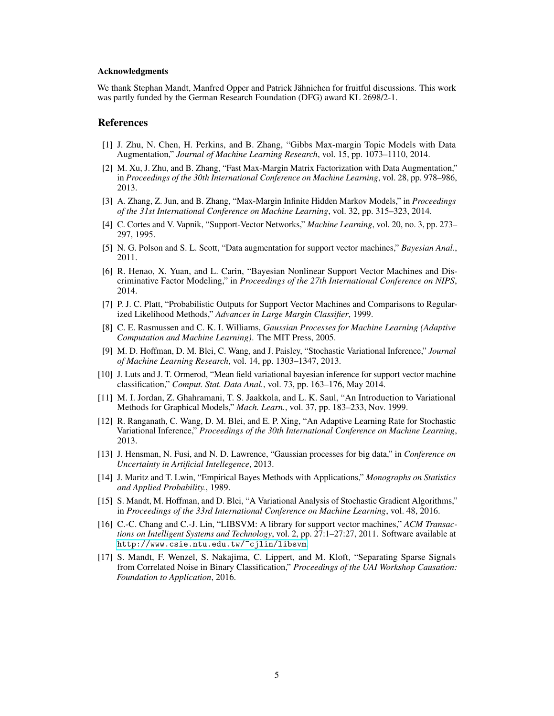#### Acknowledgments

We thank Stephan Mandt, Manfred Opper and Patrick Jähnichen for fruitful discussions. This work was partly funded by the German Research Foundation (DFG) award KL 2698/2-1.

## References

- <span id="page-4-0"></span>[1] J. Zhu, N. Chen, H. Perkins, and B. Zhang, "Gibbs Max-margin Topic Models with Data Augmentation," *Journal of Machine Learning Research*, vol. 15, pp. 1073–1110, 2014.
- <span id="page-4-1"></span>[2] M. Xu, J. Zhu, and B. Zhang, "Fast Max-Margin Matrix Factorization with Data Augmentation," in *Proceedings of the 30th International Conference on Machine Learning*, vol. 28, pp. 978–986, 2013.
- <span id="page-4-2"></span>[3] A. Zhang, Z. Jun, and B. Zhang, "Max-Margin Infinite Hidden Markov Models," in *Proceedings of the 31st International Conference on Machine Learning*, vol. 32, pp. 315–323, 2014.
- <span id="page-4-3"></span>[4] C. Cortes and V. Vapnik, "Support-Vector Networks," *Machine Learning*, vol. 20, no. 3, pp. 273– 297, 1995.
- <span id="page-4-4"></span>[5] N. G. Polson and S. L. Scott, "Data augmentation for support vector machines," *Bayesian Anal.*, 2011.
- <span id="page-4-5"></span>[6] R. Henao, X. Yuan, and L. Carin, "Bayesian Nonlinear Support Vector Machines and Discriminative Factor Modeling," in *Proceedings of the 27th International Conference on NIPS*, 2014.
- <span id="page-4-6"></span>[7] P. J. C. Platt, "Probabilistic Outputs for Support Vector Machines and Comparisons to Regularized Likelihood Methods," *Advances in Large Margin Classifier*, 1999.
- <span id="page-4-7"></span>[8] C. E. Rasmussen and C. K. I. Williams, *Gaussian Processes for Machine Learning (Adaptive Computation and Machine Learning)*. The MIT Press, 2005.
- <span id="page-4-8"></span>[9] M. D. Hoffman, D. M. Blei, C. Wang, and J. Paisley, "Stochastic Variational Inference," *Journal of Machine Learning Research*, vol. 14, pp. 1303–1347, 2013.
- <span id="page-4-9"></span>[10] J. Luts and J. T. Ormerod, "Mean field variational bayesian inference for support vector machine classification," *Comput. Stat. Data Anal.*, vol. 73, pp. 163–176, May 2014.
- <span id="page-4-10"></span>[11] M. I. Jordan, Z. Ghahramani, T. S. Jaakkola, and L. K. Saul, "An Introduction to Variational Methods for Graphical Models," *Mach. Learn.*, vol. 37, pp. 183–233, Nov. 1999.
- <span id="page-4-11"></span>[12] R. Ranganath, C. Wang, D. M. Blei, and E. P. Xing, "An Adaptive Learning Rate for Stochastic Variational Inference," *Proceedings of the 30th International Conference on Machine Learning*, 2013.
- <span id="page-4-12"></span>[13] J. Hensman, N. Fusi, and N. D. Lawrence, "Gaussian processes for big data," in *Conference on Uncertainty in Artificial Intellegence*, 2013.
- <span id="page-4-13"></span>[14] J. Maritz and T. Lwin, "Empirical Bayes Methods with Applications," *Monographs on Statistics and Applied Probability.*, 1989.
- <span id="page-4-14"></span>[15] S. Mandt, M. Hoffman, and D. Blei, "A Variational Analysis of Stochastic Gradient Algorithms," in *Proceedings of the 33rd International Conference on Machine Learning*, vol. 48, 2016.
- <span id="page-4-15"></span>[16] C.-C. Chang and C.-J. Lin, "LIBSVM: A library for support vector machines," ACM Transac*tions on Intelligent Systems and Technology*, vol. 2, pp. 27:1–27:27, 2011. Software available at <http://www.csie.ntu.edu.tw/~cjlin/libsvm>.
- <span id="page-4-16"></span>[17] S. Mandt, F. Wenzel, S. Nakajima, C. Lippert, and M. Kloft, "Separating Sparse Signals from Correlated Noise in Binary Classification," *Proceedings of the UAI Workshop Causation: Foundation to Application*, 2016.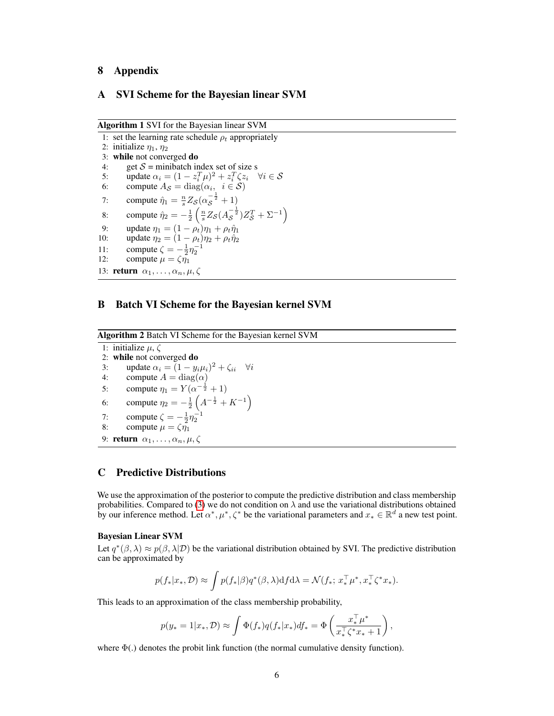## 8 Appendix

## A SVI Scheme for the Bayesian linear SVM

Algorithm 1 SVI for the Bayesian linear SVM

<span id="page-5-1"></span>1: set the learning rate schedule  $\rho_t$  appropriately 2: initialize  $\eta_1$ ,  $\eta_2$ 3: while not converged do 4: get  $S =$  minibatch index set of size s 5: update  $\alpha_i = (1 - z_i^T \mu)^2 + z_i^T \zeta z_i$   $\forall i \in S$ 6: compute  $A_{\mathcal{S}} = \text{diag}(\alpha_i, i \in \mathcal{S})$ 7: compute  $\hat{\eta}_1 = \frac{n}{s} Z_{\mathcal{S}} (\alpha_{\mathcal{S}}^{-\frac{1}{2}} + 1)$ 8: compute  $\hat{\eta}_2 = -\frac{1}{2} \left( \frac{n}{s} Z_S (A_S^{-\frac{1}{2}}) Z_S^T + \Sigma^{-1} \right)$ 9: update  $\eta_1 = (1 - \rho_t)\eta_1 + \rho_t \hat{\eta}_1$ 10: update  $\eta_2 = (1 - \rho_t)\eta_2 + \rho_t \hat{\eta}_2$ 11: compute  $\zeta = -\frac{1}{2}\eta_2^{-1}$ 12: compute  $\mu = \zeta \eta_1$ 13: **return**  $\alpha_1, \ldots, \alpha_n, \mu, \zeta$ 

# B Batch VI Scheme for the Bayesian kernel SVM

Algorithm 2 Batch VI Scheme for the Bayesian kernel SVM

<span id="page-5-0"></span>1: initialize  $\mu$ ,  $\zeta$ 2: while not converged do 3: update  $\alpha_i = (1 - y_i \mu_i)^2 + \zeta_{ii}$   $\forall i$ 4: compute  $A = diag(\alpha)$ 5: compute  $\eta_1 = Y(\alpha^{-\frac{1}{2}} + 1)$ 6: compute  $\eta_2 = -\frac{1}{2} \left( A^{-\frac{1}{2}} + K^{-1} \right)$ 7: compute  $\zeta = -\frac{1}{2}\eta_2^{-1}$ 8: compute  $\mu = \zeta \eta_1$ 9: **return**  $\alpha_1, \ldots, \alpha_n, \mu, \zeta$ 

## C Predictive Distributions

We use the approximation of the posterior to compute the predictive distribution and class membership probabilities. Compared to [\(3\)](#page-1-3) we do not condition on  $\lambda$  and use the variational distributions obtained by our inference method. Let  $\alpha^*, \mu^*, \zeta^*$  be the variational parameters and  $x_* \in \mathbb{R}^d$  a new test point.

#### Bayesian Linear SVM

Let  $q^*(\beta, \lambda) \approx p(\beta, \lambda | \mathcal{D})$  be the variational distribution obtained by SVI. The predictive distribution can be approximated by

$$
p(f_*|x_*, \mathcal{D}) \approx \int p(f_*|\beta) q^*(\beta, \lambda) \mathrm{d} f \mathrm{d}\lambda = \mathcal{N}(f_*; x_*^\top \mu^*, x_*^\top \zeta^* x_*).
$$

This leads to an approximation of the class membership probability,

$$
p(y_* = 1 | x_*, \mathcal{D}) \approx \int \Phi(f_*) q(f_* | x_*) df_* = \Phi\left(\frac{x_*^\top \mu^*}{x_*^\top \zeta^* x_* + 1}\right),
$$

where  $\Phi(.)$  denotes the probit link function (the normal cumulative density function).